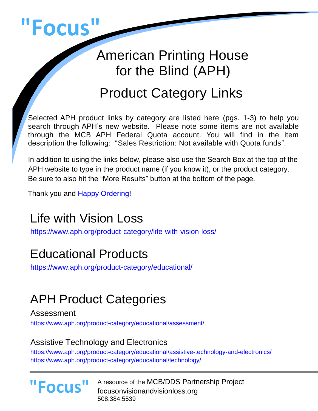

# American Printing House for the Blind (APH)

# Product Category Links

Selected APH product links by category are listed here (pgs. 1-3) to help you search through APH's new website. Please note some items are not available through the MCB APH Federal Quota account. You will find in the item description the following: "Sales Restriction: Not available with Quota funds".

In addition to using the links below, please also use the Search Box at the top of the APH website to type in the product name (if you know it), or the product category. Be sure to also hit the "More Results" button at the bottom of the page.

Thank you and [Happy Ordering!](https://www.focusonvisionandvisionloss.org/aph-federal-quota-account.html)

# Life with Vision Loss

<https://www.aph.org/product-category/life-with-vision-loss/>

## Educational Products

<https://www.aph.org/product-category/educational/>

# APH Product Categories

Assessment

<https://www.aph.org/product-category/educational/assessment/>

#### Assistive Technology and Electronics

<https://www.aph.org/product-category/educational/assistive-technology-and-electronics/> <https://www.aph.org/product-category/educational/technology/>

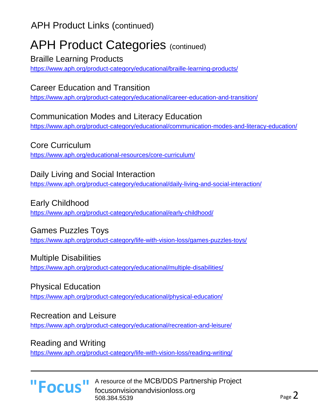APH Product Links (continued)

### APH Product Categories (continued)

Braille Learning Products

<https://www.aph.org/product-category/educational/braille-learning-products/>

#### Career Education and Transition

<https://www.aph.org/product-category/educational/career-education-and-transition/>

#### Communication Modes and Literacy Education

<https://www.aph.org/product-category/educational/communication-modes-and-literacy-education/>

#### Core Curriculum

<https://www.aph.org/educational-resources/core-curriculum/>

#### Daily Living and Social Interaction

<https://www.aph.org/product-category/educational/daily-living-and-social-interaction/>

#### Early Childhood

<https://www.aph.org/product-category/educational/early-childhood/>

#### Games Puzzles Toys

<https://www.aph.org/product-category/life-with-vision-loss/games-puzzles-toys/>

#### Multiple Disabilities

<https://www.aph.org/product-category/educational/multiple-disabilities/>

#### Physical Education

<https://www.aph.org/product-category/educational/physical-education/>

#### Recreation and Leisure

<https://www.aph.org/product-category/educational/recreation-and-leisure/>

#### Reading and Writing

<https://www.aph.org/product-category/life-with-vision-loss/reading-writing/>

#### A resource of the MCB/DDS Partnership Project **"Focus"** A resource of the MCB/DDS Partn 508.384.5539

l